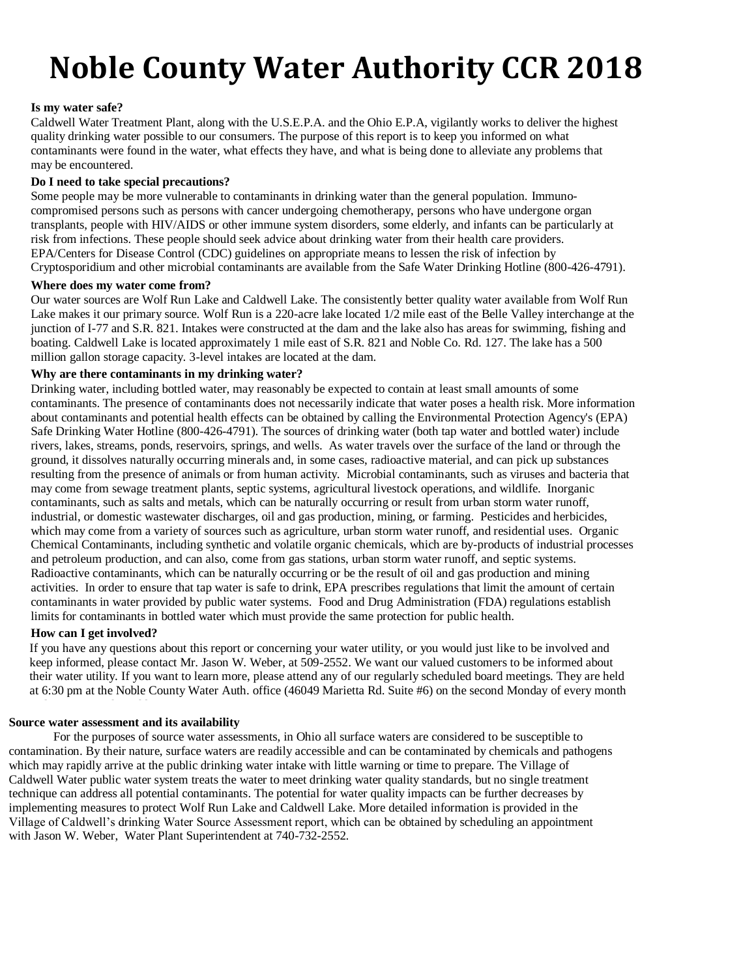# **Noble County Water Authority CCR 2018**

#### Is my water safe?

Caldwell Water Treatment Plant, along with the U.S.E.P.A. and the Ohio E.P.A, vigilantly works to deliver the highest quality drinking water possible to our consumers. The purpose of this report is to keep you informed on what contaminants were found in the water, what effects they have, and what is being done to alleviate any problems that may be encountered.

#### **Do I need to take special precautions?**

Some people may be more vulnerable to contaminants in drinking water than the general population. Immunocompromised persons such as persons with cancer undergoing chemotherapy, persons who have undergone organ transplants, people with HIV/AIDS or other immune system disorders, some elderly, and infants can be particularly at risk from infections. These people should seek advice about drinking water from their health care providers. EPA/Centers for Disease Control (CDC) guidelines on appropriate means to lessen the risk of infection by Cryptosporidium and other microbial contaminants are available from the Safe Water Drinking Hotline (800-426-4791).

#### **Where does my water come from?**

Our water sources are Wolf Run Lake and Caldwell Lake. The consistently better quality water available from Wolf Run Lake makes it our primary source. Wolf Run is a 220-acre lake located 1/2 mile east of the Belle Valley interchange at the junction of I-77 and S.R. 821. Intakes were constructed at the dam and the lake also has areas for swimming, fishing and boating. Caldwell Lake is located approximately 1 mile east of S.R. 821 and Noble Co. Rd. 127. The lake has a 500 million gallon storage capacity. 3-level intakes are located at the dam.

### **Why are there contaminants in my drinking water?**

Drinking water, including bottled water, may reasonably be expected to contain at least small amounts of some contaminants. The presence of contaminants does not necessarily indicate that water poses a health risk. More information about contaminants and potential health effects can be obtained by calling the Environmental Protection Agency's (EPA) Safe Drinking Water Hotline (800-426-4791). The sources of drinking water (both tap water and bottled water) include rivers, lakes, streams, ponds, reservoirs, springs, and wells. As water travels over the surface of the land or through the ground, it dissolves naturally occurring minerals and, in some cases, radioactive material, and can pick up substances resulting from the presence of animals or from human activity. Microbial contaminants, such as viruses and bacteria that may come from sewage treatment plants, septic systems, agricultural livestock operations, and wildlife. Inorganic contaminants, such as salts and metals, which can be naturally occurring or result from urban storm water runoff, industrial, or domestic wastewater discharges, oil and gas production, mining, or farming. Pesticides and herbicides, which may come from a variety of sources such as agriculture, urban storm water runoff, and residential uses. Organic Chemical Contaminants, including synthetic and volatile organic chemicals, which are by-products of industrial processes and petroleum production, and can also, come from gas stations, urban storm water runoff, and septic systems. Radioactive contaminants, which can be naturally occurring or be the result of oil and gas production and mining activities. In order to ensure that tap water is safe to drink, EPA prescribes regulations that limit the amount of certain contaminants in water provided by public water systems. Food and Drug Administration (FDA) regulations establish limits for contaminants in bottled water which must provide the same protection for public health.

#### **How can I get involved?**

If you have any questions about this report or concerning your water utility, or you would just like to be involved and keep informed, please contact Mr. Jason W. Weber, at 509-2552. We want our valued customers to be informed about their water utility. If you want to learn more, please attend any of our regularly scheduled board meetings. They are held at 6:30 pm at the Noble County Water Auth. office (46049 Marietta Rd. Suite #6) on the second Monday of every month

#### **Source water assessment and its availability**

For the purposes of source water assessments, in Ohio all surface waters are considered to be susceptible to contamination. By their nature, surface waters are readily accessible and can be contaminated by chemicals and pathogens which may rapidly arrive at the public drinking water intake with little warning or time to prepare. The Village of Caldwell Water public water system treats the water to meet drinking water quality standards, but no single treatment technique can address all potential contaminants. The potential for water quality impacts can be further decreases by implementing measures to protect Wolf Run Lake and Caldwell Lake. More detailed information is provided in the Village of Caldwell's drinking Water Source Assessment report, which can be obtained by scheduling an appointment with Jason W. Weber, Water Plant Superintendent at 740-732-2552.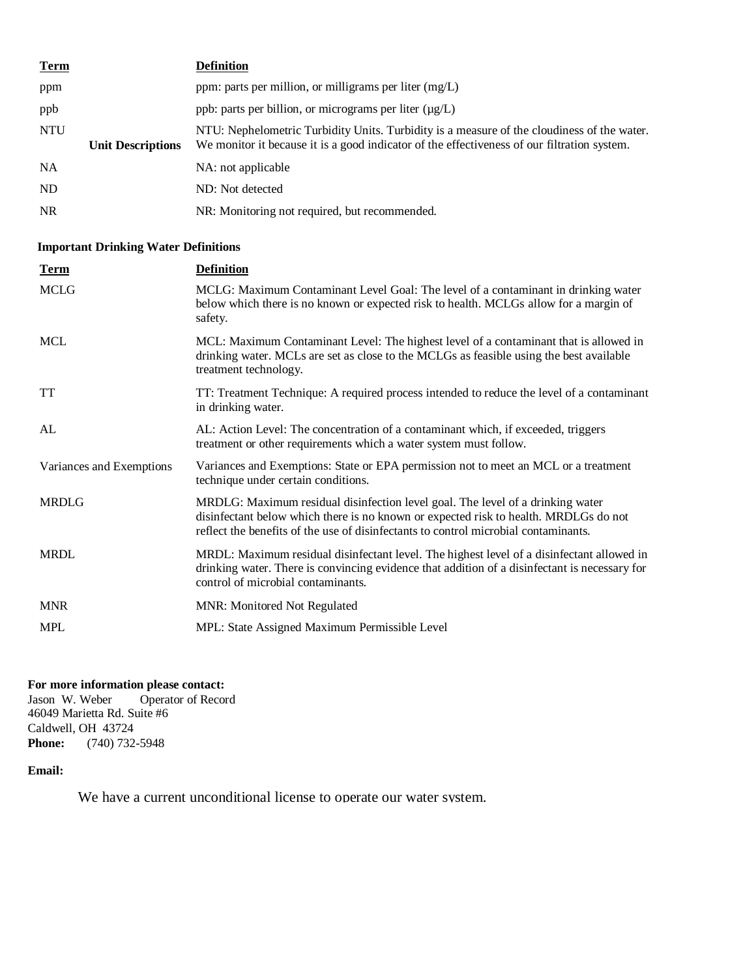| <b>Term</b>    |                          | <b>Definition</b>                                                                                                                                                                         |
|----------------|--------------------------|-------------------------------------------------------------------------------------------------------------------------------------------------------------------------------------------|
| ppm            |                          | ppm: parts per million, or milligrams per liter $(mg/L)$                                                                                                                                  |
| ppb            |                          | ppb: parts per billion, or micrograms per liter $(\mu g/L)$                                                                                                                               |
| <b>NTU</b>     | <b>Unit Descriptions</b> | NTU: Nephelometric Turbidity Units. Turbidity is a measure of the cloudiness of the water.<br>We monitor it because it is a good indicator of the effectiveness of our filtration system. |
| <b>NA</b>      |                          | NA: not applicable                                                                                                                                                                        |
| N <sub>D</sub> |                          | ND: Not detected                                                                                                                                                                          |
| <b>NR</b>      |                          | NR: Monitoring not required, but recommended.                                                                                                                                             |

# **Important Drinking Water Definitions**

| <b>Term</b>              | <b>Definition</b>                                                                                                                                                                                                                                             |
|--------------------------|---------------------------------------------------------------------------------------------------------------------------------------------------------------------------------------------------------------------------------------------------------------|
| <b>MCLG</b>              | MCLG: Maximum Contaminant Level Goal: The level of a contaminant in drinking water<br>below which there is no known or expected risk to health. MCLGs allow for a margin of<br>safety.                                                                        |
| <b>MCL</b>               | MCL: Maximum Contaminant Level: The highest level of a contaminant that is allowed in<br>drinking water. MCLs are set as close to the MCLGs as feasible using the best available<br>treatment technology.                                                     |
| TT                       | TT: Treatment Technique: A required process intended to reduce the level of a contaminant<br>in drinking water.                                                                                                                                               |
| AL                       | AL: Action Level: The concentration of a contaminant which, if exceeded, triggers<br>treatment or other requirements which a water system must follow.                                                                                                        |
| Variances and Exemptions | Variances and Exemptions: State or EPA permission not to meet an MCL or a treatment<br>technique under certain conditions.                                                                                                                                    |
| <b>MRDLG</b>             | MRDLG: Maximum residual disinfection level goal. The level of a drinking water<br>disinfectant below which there is no known or expected risk to health. MRDLGs do not<br>reflect the benefits of the use of disinfectants to control microbial contaminants. |
| <b>MRDL</b>              | MRDL: Maximum residual disinfectant level. The highest level of a disinfectant allowed in<br>drinking water. There is convincing evidence that addition of a disinfectant is necessary for<br>control of microbial contaminants.                              |
| <b>MNR</b>               | <b>MNR: Monitored Not Regulated</b>                                                                                                                                                                                                                           |
| <b>MPL</b>               | MPL: State Assigned Maximum Permissible Level                                                                                                                                                                                                                 |

### **For more information please contact:**

Jason W. Weber Operator of Record 46049 Marietta Rd. Suite #6 Caldwell, OH 43724 **Phone:** (740) 732-5948

### **Email:**

We have a current unconditional license to operate our water system.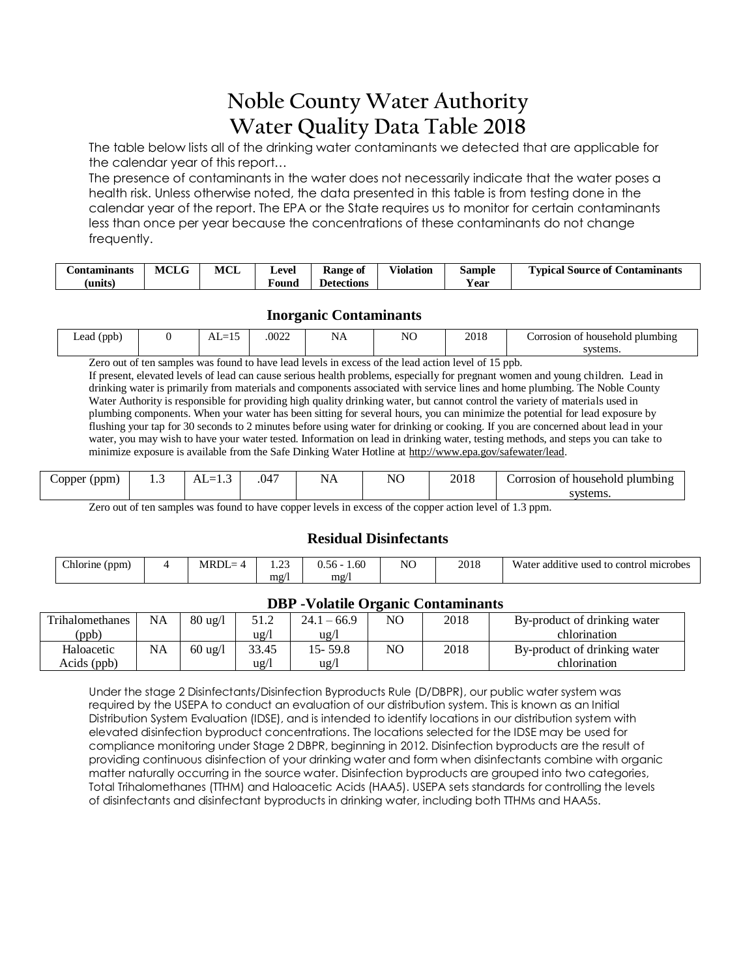# **Noble County Water Authority Water Quality Data Table 2018**

The table below lists all of the drinking water contaminants we detected that are applicable for the calendar year of this report…

The presence of contaminants in the water does not necessarily indicate that the water poses a health risk. Unless otherwise noted, the data presented in this table is from testing done in the calendar year of the report. The EPA or the State requires us to monitor for certain contaminants less than once per year because the concentrations of these contaminants do not change frequently.

| Contaminants        | <b>MCLG</b> | <b>MCL</b> | Level  | Kange of   | $\mathbf{v}$ $\mathbf{v}$<br>$\mathrm{V}$ iolation | $\sim$<br>Sample | <b>Contaminants</b><br><b>voical</b><br>Source of |
|---------------------|-------------|------------|--------|------------|----------------------------------------------------|------------------|---------------------------------------------------|
| $\bullet$<br>ˈunits |             |            | F ound | Detections |                                                    | t ear            |                                                   |

# **Inorganic Contaminants**

| Lead '<br>(ppb<br>. . | $\sim$ $\sim$<br>_<br>⊥ | 0022 | $\sim$<br>NΑ<br>$  -$ | N <sub>O</sub> | $0.1 \text{ C}$<br>2010<br>____ | orrosion<br>: householo<br>plumbing |
|-----------------------|-------------------------|------|-----------------------|----------------|---------------------------------|-------------------------------------|
|                       |                         |      |                       |                |                                 | $+ - - -$                           |

Zero out of ten samples was found to have lead levels in excess of the lead action level of 15 ppb.

If present, elevated levels of lead can cause serious health problems, especially for pregnant women and young children. Lead in drinking water is primarily from materials and components associated with service lines and home plumbing. The Noble County Water Authority is responsible for providing high quality drinking water, but cannot control the variety of materials used in plumbing components. When your water has been sitting for several hours, you can minimize the potential for lead exposure by flushing your tap for 30 seconds to 2 minutes before using water for drinking or cooking. If you are concerned about lead in your water, you may wish to have your water tested. Information on lead in drinking water, testing methods, and steps you can take to minimize exposure is available from the Safe Dinking Water Hotline at [http://www.epa.gov/safewater/lead.](http://www.epa.gov/safewater/lead)

| Copper<br>$($ ppm $)$ | . | $AL =$<br>ن د ل | .047 | ΝA | NO | 2018 | Corrosion of household plumbing |
|-----------------------|---|-----------------|------|----|----|------|---------------------------------|
|                       |   |                 |      |    |    |      | systems.                        |

Zero out of ten samples was found to have copper levels in excess of the copper action level of 1.3 ppm.

# **Residual Disinfectants**

| $\sim$<br>$\cdot$ (ppm,<br>_hlorine = | $MRDI =$ | $\sim$<br>. | 1.60<br>$0.56 -$ | N <sub>O</sub> | 2018 | .  .<br><b>TTT</b><br>o control microbes<br>Water additive<br>⊹used<br>$\sim$<br>w |
|---------------------------------------|----------|-------------|------------------|----------------|------|------------------------------------------------------------------------------------|
|                                       |          | mg/         | mg/              |                |      |                                                                                    |

## **DBP -Volatile Organic Contaminants**

| Trihalomethanes | <b>NA</b> | $80 \text{ ug}/l$ | 51.2            | $24.1 - 66.9$ | NO. | 2018 | By-product of drinking water |
|-----------------|-----------|-------------------|-----------------|---------------|-----|------|------------------------------|
| (ppb)           |           |                   | $u\text{g}/l$   | ug/l          |     |      | chlorination                 |
| Haloacetic      | <b>NA</b> | $60 \text{ ug}/l$ | 33.45           | 15- 59.8      | NO. | 2018 | By-product of drinking water |
| Acids (ppb)     |           |                   | $\frac{u g}{l}$ | ug/l          |     |      | chlorination                 |

Under the stage 2 Disinfectants/Disinfection Byproducts Rule (D/DBPR), our public water system was required by the USEPA to conduct an evaluation of our distribution system. This is known as an Initial Distribution System Evaluation (IDSE), and is intended to identify locations in our distribution system with elevated disinfection byproduct concentrations. The locations selected for the IDSE may be used for compliance monitoring under Stage 2 DBPR, beginning in 2012. Disinfection byproducts are the result of providing continuous disinfection of your drinking water and form when disinfectants combine with organic matter naturally occurring in the source water. Disinfection byproducts are grouped into two categories, Total Trihalomethanes (TTHM) and Haloacetic Acids (HAA5). USEPA sets standards for controlling the levels of disinfectants and disinfectant byproducts in drinking water, including both TTHMs and HAA5s.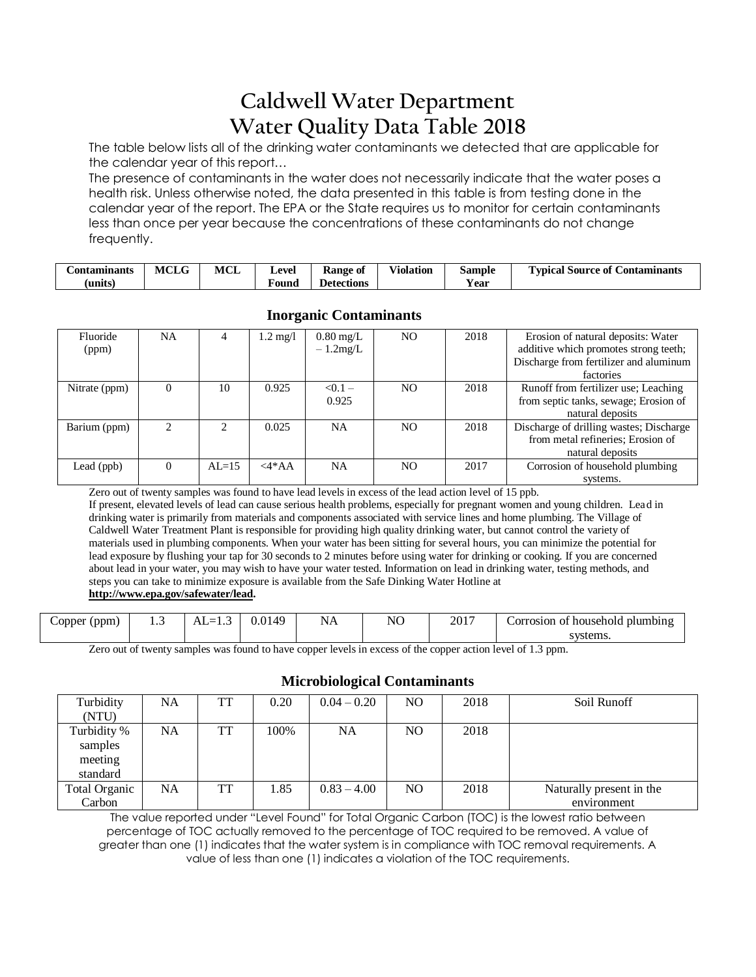# **Caldwell Water Department Water Quality Data Table 2018**

The table below lists all of the drinking water contaminants we detected that are applicable for the calendar year of this report…

The presence of contaminants in the water does not necessarily indicate that the water poses a health risk. Unless otherwise noted, the data presented in this table is from testing done in the calendar year of the report. The EPA or the State requires us to monitor for certain contaminants less than once per year because the concentrations of these contaminants do not change frequently.

| ∴ontaminants | <b>MCLG</b> | MCL | Level  | Kange of   | Violation | Sample      | <b>Typical Source of</b><br><b>Contaminants</b> |
|--------------|-------------|-----|--------|------------|-----------|-------------|-------------------------------------------------|
| units        |             |     | F ound | Detections |           | --<br>Y ear |                                                 |

| Fluoride<br>(ppm) | NA. |           | $1.2 \text{ mg}/1$ | $0.80 \text{ mg/L}$<br>$-1.2mg/L$ | NO. | 2018 | Erosion of natural deposits: Water<br>additive which promotes strong teeth;<br>Discharge from fertilizer and aluminum<br>factories |
|-------------------|-----|-----------|--------------------|-----------------------------------|-----|------|------------------------------------------------------------------------------------------------------------------------------------|
| Nitrate (ppm)     |     | 10        | 0.925              | $< 0.1 -$<br>0.925                | NO. | 2018 | Runoff from fertilizer use; Leaching<br>from septic tanks, sewage; Erosion of<br>natural deposits                                  |
| Barium (ppm)      |     |           | 0.025              | <b>NA</b>                         | NO. | 2018 | Discharge of drilling wastes; Discharge<br>from metal refineries; Erosion of<br>natural deposits                                   |
| Lead (ppb)        |     | $AI = 15$ | $\langle 4^*AA$    | <b>NA</b>                         | NO. | 2017 | Corrosion of household plumbing<br>systems.                                                                                        |

# **Inorganic Contaminants**

Zero out of twenty samples was found to have lead levels in excess of the lead action level of 15 ppb.

If present, elevated levels of lead can cause serious health problems, especially for pregnant women and young children. Lead in drinking water is primarily from materials and components associated with service lines and home plumbing. The Village of Caldwell Water Treatment Plant is responsible for providing high quality drinking water, but cannot control the variety of materials used in plumbing components. When your water has been sitting for several hours, you can minimize the potential for lead exposure by flushing your tap for 30 seconds to 2 minutes before using water for drinking or cooking. If you are concerned about lead in your water, you may wish to have your water tested. Information on lead in drinking water, testing methods, and steps you can take to minimize exposure is available from the Safe Dinking Water Hotline at **[http://www.epa.gov/safewater/lead.](http://www.epa.gov/safewater/lead)**

| opper (ppm) | <br>$AL=1.5$ | 0.0149 | . .<br>NΑ | NO | 2017 | household<br>Corrosion_<br>plumbing<br>ОŤ |
|-------------|--------------|--------|-----------|----|------|-------------------------------------------|
|             |              |        |           |    |      | systems.                                  |

Zero out of twenty samples was found to have copper levels in excess of the copper action level of 1.3 ppm.

## **Microbiological Contaminants**

| Turbidity     | NA  | TT | 0.20 | $0.04 - 0.20$ | NO. | 2018 | Soil Runoff              |
|---------------|-----|----|------|---------------|-----|------|--------------------------|
| (NTU)         |     |    |      |               |     |      |                          |
| Turbidity %   | NA  | TT | 100% | NA            | NO. | 2018 |                          |
| samples       |     |    |      |               |     |      |                          |
| meeting       |     |    |      |               |     |      |                          |
| standard      |     |    |      |               |     |      |                          |
| Total Organic | NA. | TT | 1.85 | $0.83 - 4.00$ | NO. | 2018 | Naturally present in the |
| Carbon        |     |    |      |               |     |      | environment              |

The value reported under "Level Found" for Total Organic Carbon (TOC) is the lowest ratio between percentage of TOC actually removed to the percentage of TOC required to be removed. A value of greater than one (1) indicates that the water system is in compliance with TOC removal requirements. A value of less than one (1) indicates a violation of the TOC requirements.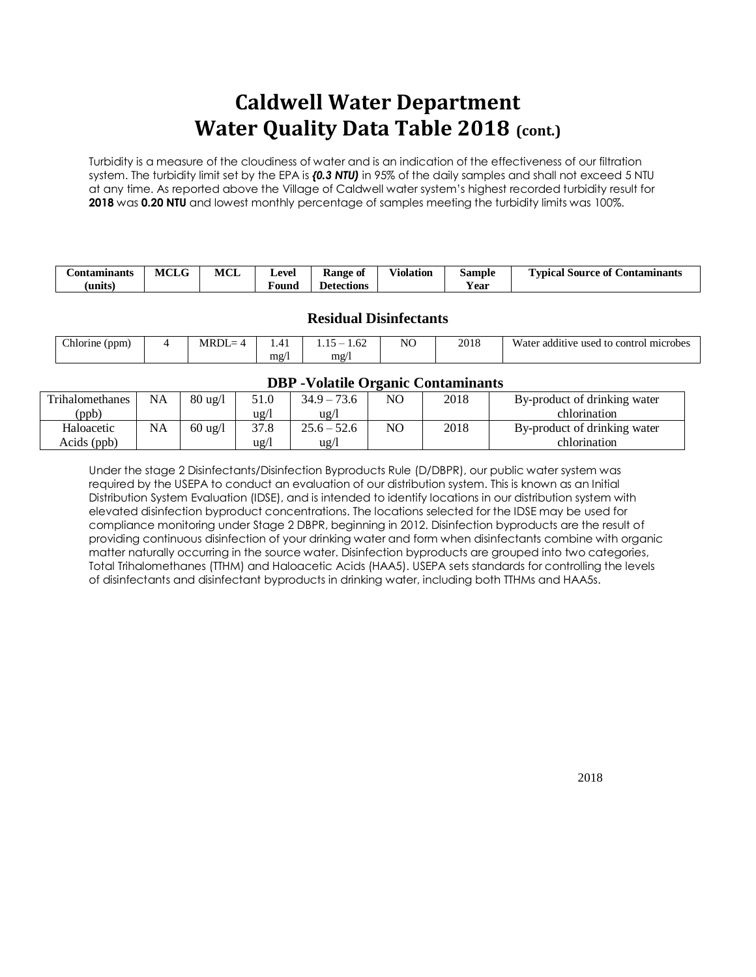# **Caldwell Water Department Water Quality Data Table 2018 (cont.)**

Turbidity is a measure of the cloudiness of water and is an indication of the effectiveness of our filtration system. The turbidity limit set by the EPA is *{0.3 NTU)* in 95% of the daily samples and shall not exceed 5 NTU at any time. As reported above the Village of Caldwell water system's highest recorded turbidity result for **2018** was **0.20 NTU** and lowest monthly percentage of samples meeting the turbidity limits was 100%.

| <b>Contaminants</b> | $\mathbf{r}$<br>MCLG | MCL | Level | Kange of          | <b>Violation</b> | Sample | m<br><b>Contaminants</b><br>Typical Source of |
|---------------------|----------------------|-----|-------|-------------------|------------------|--------|-----------------------------------------------|
| units)              |                      |     | Found | <b>Detections</b> |                  | ′ear   |                                               |

# **Residual Disinfectants**

| Chlorine<br>(ppm | MRDL= |       | 1.OZ<br>`−   | NO | 2018 | $- - -$<br>.<br>additive used to control microbes<br>Water |
|------------------|-------|-------|--------------|----|------|------------------------------------------------------------|
|                  |       | $m$ g | $m\text{g}/$ |    |      |                                                            |

### **DBP -Volatile Organic Contaminants**

| Trihalomethanes | <b>NA</b> | $80 \text{ ug}/l$ | 51.0                     | $34.9 - 73.6$ | NO | 2018 | By-product of drinking water |  |  |
|-----------------|-----------|-------------------|--------------------------|---------------|----|------|------------------------------|--|--|
| ppb)            |           |                   | $\frac{u g}{l}$          | $\frac{u}{g}$ |    |      | chlorination                 |  |  |
| Haloacetic      | NA        | $60 \text{ ug}/l$ | 37.8                     | $25.6 - 52.6$ | NO | 2018 | By-product of drinking water |  |  |
| Acids (ppb)     |           |                   | $u\mathbf{g}/\mathbf{h}$ | $u\alpha/l$   |    |      | chlorination                 |  |  |

Under the stage 2 Disinfectants/Disinfection Byproducts Rule (D/DBPR), our public water system was required by the USEPA to conduct an evaluation of our distribution system. This is known as an Initial Distribution System Evaluation (IDSE), and is intended to identify locations in our distribution system with elevated disinfection byproduct concentrations. The locations selected for the IDSE may be used for compliance monitoring under Stage 2 DBPR, beginning in 2012. Disinfection byproducts are the result of providing continuous disinfection of your drinking water and form when disinfectants combine with organic matter naturally occurring in the source water. Disinfection byproducts are grouped into two categories, Total Trihalomethanes (TTHM) and Haloacetic Acids (HAA5). USEPA sets standards for controlling the levels of disinfectants and disinfectant byproducts in drinking water, including both TTHMs and HAA5s.

2018